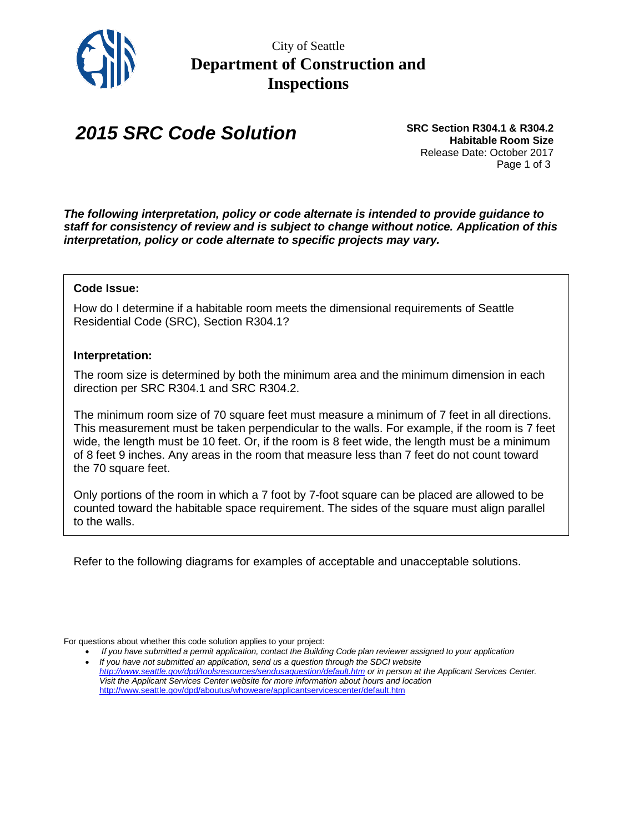

City of Seattle **Department of Construction and Inspections**

## *2015 SRC Code Solution*

**SRC Section R304.1 & R304.2 Habitable Room Size** Release Date: October 2017 Page 1 of 3

*The following interpretation, policy or code alternate is intended to provide guidance to staff for consistency of review and is subject to change without notice. Application of this interpretation, policy or code alternate to specific projects may vary.*

## **Code Issue:**

How do I determine if a habitable room meets the dimensional requirements of Seattle Residential Code (SRC), Section R304.1?

## **Interpretation:**

The room size is determined by both the minimum area and the minimum dimension in each direction per SRC R304.1 and SRC R304.2.

The minimum room size of 70 square feet must measure a minimum of 7 feet in all directions. This measurement must be taken perpendicular to the walls. For example, if the room is 7 feet wide, the length must be 10 feet. Or, if the room is 8 feet wide, the length must be a minimum of 8 feet 9 inches. Any areas in the room that measure less than 7 feet do not count toward the 70 square feet.

Only portions of the room in which a 7 foot by 7-foot square can be placed are allowed to be counted toward the habitable space requirement. The sides of the square must align parallel to the walls.

Refer to the following diagrams for examples of acceptable and unacceptable solutions.

For questions about whether this code solution applies to your project:

If you have submitted a permit application, contact the Building Code plan reviewer assigned to your application • *If you have not submitted an application, send us a question through the SDCI website <http://www.seattle.gov/dpd/toolsresources/sendusaquestion/default.htm> or in person at the Applicant Services Center. Visit the Applicant Services Center website for more information about hours and location*  <http://www.seattle.gov/dpd/aboutus/whoweare/applicantservicescenter/default.htm>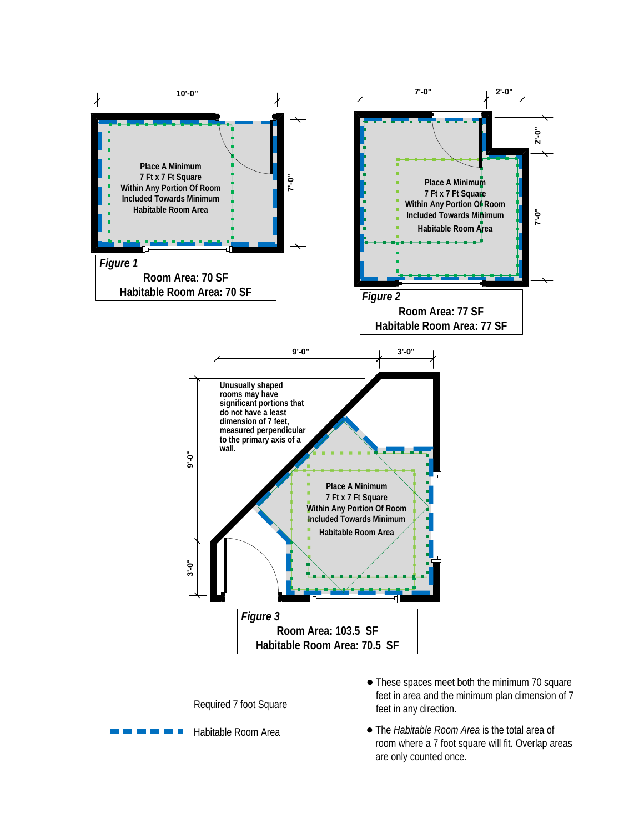

Habitable Room Area

The *Habitable Room Area* is the total area of room where a 7 foot square will fit. Overlap areas are only counted once.